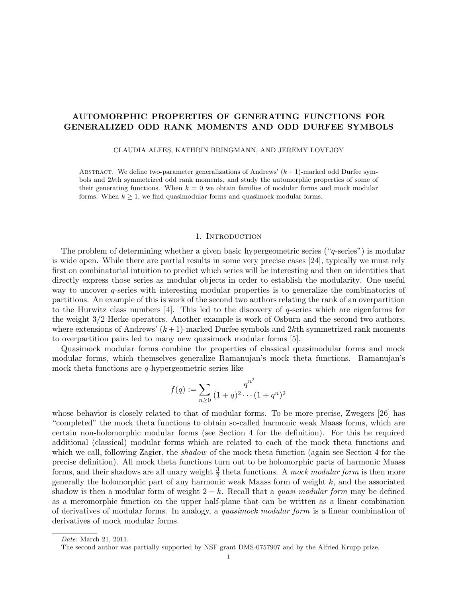# AUTOMORPHIC PROPERTIES OF GENERATING FUNCTIONS FOR GENERALIZED ODD RANK MOMENTS AND ODD DURFEE SYMBOLS

CLAUDIA ALFES, KATHRIN BRINGMANN, AND JEREMY LOVEJOY

ABSTRACT. We define two-parameter generalizations of Andrews'  $(k+1)$ -marked odd Durfee symbols and 2kth symmetrized odd rank moments, and study the automorphic properties of some of their generating functions. When  $k = 0$  we obtain families of modular forms and mock modular forms. When  $k \geq 1$ , we find quasimodular forms and quasimock modular forms.

### 1. INTRODUCTION

The problem of determining whether a given basic hypergeometric series ("q-series") is modular is wide open. While there are partial results in some very precise cases [24], typically we must rely first on combinatorial intuition to predict which series will be interesting and then on identities that directly express those series as modular objects in order to establish the modularity. One useful way to uncover q-series with interesting modular properties is to generalize the combinatorics of partitions. An example of this is work of the second two authors relating the rank of an overpartition to the Hurwitz class numbers  $[4]$ . This led to the discovery of q-series which are eigenforms for the weight 3/2 Hecke operators. Another example is work of Osburn and the second two authors, where extensions of Andrews'  $(k+1)$ -marked Durfee symbols and 2kth symmetrized rank moments to overpartition pairs led to many new quasimock modular forms [5].

Quasimock modular forms combine the properties of classical quasimodular forms and mock modular forms, which themselves generalize Ramanujan's mock theta functions. Ramanujan's mock theta functions are  $q$ -hypergeometric series like

$$
f(q) := \sum_{n\geq 0} \frac{q^{n^2}}{(1+q)^2 \cdots (1+q^n)^2}
$$

whose behavior is closely related to that of modular forms. To be more precise, Zwegers [26] has "completed" the mock theta functions to obtain so-called harmonic weak Maass forms, which are certain non-holomorphic modular forms (see Section 4 for the definition). For this he required additional (classical) modular forms which are related to each of the mock theta functions and which we call, following Zagier, the *shadow* of the mock theta function (again see Section 4 for the precise definition). All mock theta functions turn out to be holomorphic parts of harmonic Maass forms, and their shadows are all unary weight  $\frac{3}{2}$  theta functions. A *mock modular form* is then more generally the holomorphic part of any harmonic weak Maass form of weight  $k$ , and the associated shadow is then a modular form of weight  $2 - k$ . Recall that a *quasi modular form* may be defined as a meromorphic function on the upper half-plane that can be written as a linear combination of derivatives of modular forms. In analogy, a quasimock modular form is a linear combination of derivatives of mock modular forms.

Date: March 21, 2011.

The second author was partially supported by NSF grant DMS-0757907 and by the Alfried Krupp prize.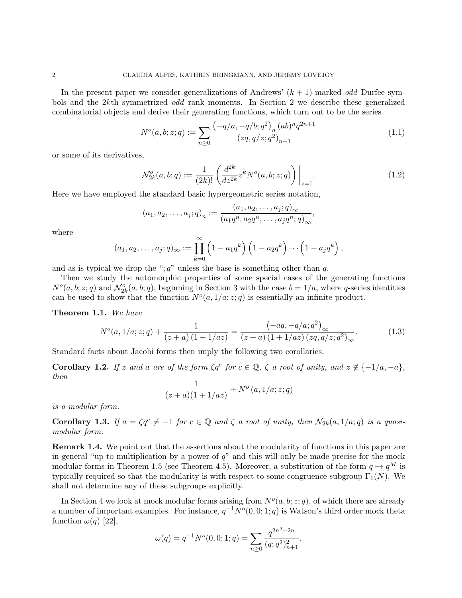In the present paper we consider generalizations of Andrews'  $(k + 1)$ -marked *odd* Durfee symbols and the 2kth symmetrized odd rank moments. In Section 2 we describe these generalized combinatorial objects and derive their generating functions, which turn out to be the series

$$
N^{o}(a,b;z;q) := \sum_{n\geq 0} \frac{\left(-q/a, -q/b; q^{2}\right)_{n}(ab)^{n} q^{2n+1}}{(zq, q/z; q^{2})_{n+1}}\tag{1.1}
$$

or some of its derivatives,

$$
\mathcal{N}_{2k}^o(a, b; q) := \frac{1}{(2k)!} \left( \frac{d^{2k}}{dz^{2k}} z^k N^o(a, b; z; q) \right) \Big|_{z=1}.
$$
\n(1.2)

Here we have employed the standard basic hypergeometric series notation,

$$
(a_1, a_2, \dots, a_j; q)_n := \frac{(a_1, a_2, \dots, a_j; q)_{\infty}}{(a_1 q^n, a_2 q^n, \dots, a_j q^n; q)_{\infty}},
$$

where

$$
(a_1, a_2, \ldots, a_j; q)_{\infty} := \prod_{k=0}^{\infty} \left(1 - a_1 q^k\right) \left(1 - a_2 q^k\right) \cdots \left(1 - a_j q^k\right),
$$

and as is typical we drop the ";  $q$ " unless the base is something other than  $q$ .

Then we study the automorphic properties of some special cases of the generating functions  $N^o(a, b; z; q)$  and  $\mathcal{N}_{2k}^o(a, b; q)$ , beginning in Section 3 with the case  $b = 1/a$ , where q-series identities can be used to show that the function  $N<sup>o</sup>(a, 1/a; z; q)$  is essentially an infinite product.

Theorem 1.1. We have

$$
N^{o}(a, 1/a; z; q) + \frac{1}{(z+a)(1+1/az)} = \frac{(-aq, -q/a; q^{2})_{\infty}}{(z+a)(1+1/az)(zq, q/z; q^{2})_{\infty}}.
$$
 (1.3)

Standard facts about Jacobi forms then imply the following two corollaries.

**Corollary 1.2.** If z and a are of the form  $\zeta q^c$  for  $c \in \mathbb{Q}$ ,  $\zeta$  a root of unity, and  $z \notin \{-1/a, -a\}$ , then

$$
\frac{1}{(z+a)(1+1/az)} + N^{o}(a, 1/a; z; q)
$$

is a modular form.

**Corollary 1.3.** If  $a = \zeta q^c \neq -1$  for  $c \in \mathbb{Q}$  and  $\zeta$  a root of unity, then  $\mathcal{N}_{2k}(a, 1/a; q)$  is a quasimodular form.

Remark 1.4. We point out that the assertions about the modularity of functions in this paper are in general "up to multiplication by a power of  $q$ " and this will only be made precise for the mock modular forms in Theorem 1.5 (see Theorem 4.5). Moreover, a substitution of the form  $q \mapsto q^M$  is typically required so that the modularity is with respect to some congruence subgroup  $\Gamma_1(N)$ . We shall not determine any of these subgroups explicitly.

In Section 4 we look at mock modular forms arising from  $N<sup>o</sup>(a, b; z; q)$ , of which there are already a number of important examples. For instance,  $q^{-1}N^o(0,0;1;q)$  is Watson's third order mock theta function  $\omega(q)$  [22],

$$
\omega(q) = q^{-1} N^{o}(0, 0; 1; q) = \sum_{n \ge 0} \frac{q^{2n^2 + 2n}}{(q; q^2)_{n+1}^2},
$$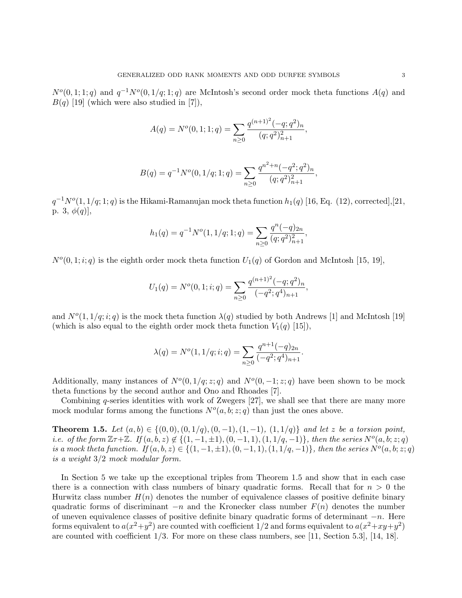$N^{o}(0,1;1;q)$  and  $q^{-1}N^{o}(0,1/q;1;q)$  are McIntosh's second order mock theta functions  $A(q)$  and  $B(q)$  [19] (which were also studied in [7]),

$$
A(q) = N^{o}(0, 1; 1; q) = \sum_{n \geq 0} \frac{q^{(n+1)^{2}} (-q; q^{2})_{n}}{(q; q^{2})_{n+1}^{2}},
$$

$$
B(q) = q^{-1} N^{o}(0, 1/q; 1; q) = \sum_{n \ge 0} \frac{q^{n^2 + n} (-q^2; q^2)_n}{(q; q^2)_{n+1}^2}
$$

,

 $q^{-1}N^o(1,1/q;1;q)$  is the Hikami-Ramanujan mock theta function  $h_1(q)$  [16, Eq. (12), corrected],[21, p. 3,  $\phi(q)$ ],

$$
h_1(q) = q^{-1} N^{o}(1, 1/q; 1; q) = \sum_{n \ge 0} \frac{q^n(-q)_{2n}}{(q; q^2)_{n+1}^2},
$$

 $N<sup>o</sup>(0, 1; i; q)$  is the eighth order mock theta function  $U_1(q)$  of Gordon and McIntosh [15, 19],

$$
U_1(q) = N^o(0, 1; i; q) = \sum_{n \ge 0} \frac{q^{(n+1)^2}(-q; q^2)_n}{(-q^2; q^4)_{n+1}},
$$

and  $N^{o}(1,1/q;i;q)$  is the mock theta function  $\lambda(q)$  studied by both Andrews [1] and McIntosh [19] (which is also equal to the eighth order mock theta function  $V_1(q)$  [15]),

$$
\lambda(q) = N^{o}(1, 1/q; i; q) = \sum_{n \geq 0} \frac{q^{n+1}(-q)_{2n}}{(-q^2; q^4)_{n+1}}.
$$

Additionally, many instances of  $N<sup>o</sup>(0, 1/q; z; q)$  and  $N<sup>o</sup>(0, -1; z; q)$  have been shown to be mock theta functions by the second author and Ono and Rhoades [7].

Combining q-series identities with work of Zwegers  $[27]$ , we shall see that there are many more mock modular forms among the functions  $N^o(a, b; z; q)$  than just the ones above.

**Theorem 1.5.** Let  $(a, b) \in \{(0, 0), (0, 1/q), (0, -1), (1, -1), (1, 1/q)\}$  and let z be a torsion point, i.e. of the form  $\mathbb{Z} \tau + \mathbb{Z}$ . If  $(a, b, z) \notin \{(1, -1, \pm 1), (0, -1, 1), (1, 1/q, -1)\}$ , then the series  $N^o(a, b, z; q)$ is a mock theta function. If  $(a, b, z) \in \{(1, -1, \pm 1), (0, -1, 1), (1, 1/q, -1)\}$ , then the series  $N<sup>o</sup>(a, b, z; q)$ is a weight 3/2 mock modular form.

In Section 5 we take up the exceptional triples from Theorem 1.5 and show that in each case there is a connection with class numbers of binary quadratic forms. Recall that for  $n > 0$  the Hurwitz class number  $H(n)$  denotes the number of equivalence classes of positive definite binary quadratic forms of discriminant  $-n$  and the Kronecker class number  $F(n)$  denotes the number of uneven equivalence classes of positive definite binary quadratic forms of determinant  $-n$ . Here forms equivalent to  $a(x^2+y^2)$  are counted with coefficient 1/2 and forms equivalent to  $a(x^2+xy+y^2)$ are counted with coefficient 1/3. For more on these class numbers, see [11, Section 5.3], [14, 18].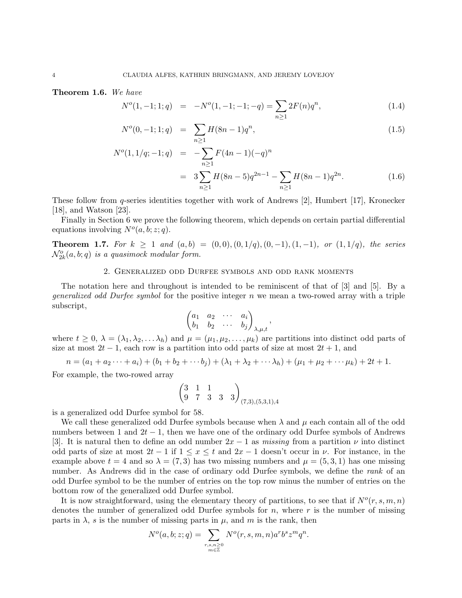Theorem 1.6. We have

$$
N^{o}(1, -1; 1; q) = -N^{o}(1, -1; -1; -q) = \sum_{n \geq 1} 2F(n)q^{n}, \qquad (1.4)
$$

$$
N^{o}(0, -1; 1; q) = \sum_{n \ge 1} H(8n - 1)q^{n}, \qquad (1.5)
$$

$$
N^{o}(1, 1/q; -1; q) = -\sum_{n\geq 1} F(4n - 1)(-q)^{n}
$$
  
= 
$$
3\sum_{n\geq 1} H(8n - 5)q^{2n-1} - \sum_{n\geq 1} H(8n - 1)q^{2n}.
$$
 (1.6)

,

These follow from q-series identities together with work of Andrews [2], Humbert [17], Kronecker [18], and Watson [23].

Finally in Section 6 we prove the following theorem, which depends on certain partial differential equations involving  $N<sup>o</sup>(a, b; z; q)$ .

**Theorem 1.7.** For  $k \ge 1$  and  $(a, b) = (0, 0), (0, 1/q), (0, -1), (1, -1),$  or  $(1, 1/q)$ , the series  $\mathcal{N}_{2k}^o(a,b;q)$  is a quasimock modular form.

### 2. Generalized odd Durfee symbols and odd rank moments

The notation here and throughout is intended to be reminiscent of that of [3] and [5]. By a *generalized odd Durfee symbol* for the positive integer n we mean a two-rowed array with a triple subscript,

$$
\begin{pmatrix} a_1 & a_2 & \cdots & a_i \\ b_1 & b_2 & \cdots & b_j \end{pmatrix}_{\lambda,\mu,t}
$$

where  $t \geq 0$ ,  $\lambda = (\lambda_1, \lambda_2, \dots, \lambda_h)$  and  $\mu = (\mu_1, \mu_2, \dots, \mu_k)$  are partitions into distinct odd parts of size at most  $2t - 1$ , each row is a partition into odd parts of size at most  $2t + 1$ , and

$$
n = (a_1 + a_2 \cdots + a_i) + (b_1 + b_2 + \cdots + b_j) + (\lambda_1 + \lambda_2 + \cdots + \lambda_k) + (\mu_1 + \mu_2 + \cdots + \mu_k) + 2t + 1.
$$

For example, the two-rowed array

$$
\begin{pmatrix} 3 & 1 & 1 \ 9 & 7 & 3 & 3 \end{pmatrix}_{(7,3),(5,3,1),4}
$$

is a generalized odd Durfee symbol for 58.

We call these generalized odd Durfee symbols because when  $\lambda$  and  $\mu$  each contain all of the odd numbers between 1 and  $2t-1$ , then we have one of the ordinary odd Durfee symbols of Andrews [3]. It is natural then to define an odd number  $2x - 1$  as missing from a partition  $\nu$  into distinct odd parts of size at most  $2t-1$  if  $1 \leq x \leq t$  and  $2x-1$  doesn't occur in  $\nu$ . For instance, in the example above  $t = 4$  and so  $\lambda = (7, 3)$  has two missing numbers and  $\mu = (5, 3, 1)$  has one missing number. As Andrews did in the case of ordinary odd Durfee symbols, we define the rank of an odd Durfee symbol to be the number of entries on the top row minus the number of entries on the bottom row of the generalized odd Durfee symbol.

It is now straightforward, using the elementary theory of partitions, to see that if  $N^o(r, s, m, n)$ denotes the number of generalized odd Durfee symbols for  $n$ , where  $r$  is the number of missing parts in  $\lambda$ , s is the number of missing parts in  $\mu$ , and m is the rank, then

$$
N^{o}(a,b;z;q) = \sum_{\substack{r,s,n \geq 0 \\ m \in \mathbb{Z}}} N^{o}(r,s,m,n) a^{r} b^{s} z^{m} q^{n}.
$$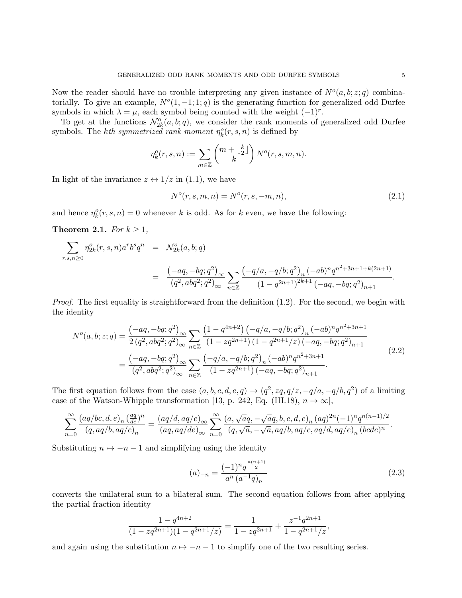Now the reader should have no trouble interpreting any given instance of  $N<sup>o</sup>(a, b; z; q)$  combinatorially. To give an example,  $N<sup>o</sup>(1, -1; 1; q)$  is the generating function for generalized odd Durfee symbols in which  $\lambda = \mu$ , each symbol being counted with the weight  $(-1)^r$ .

To get at the functions  $\mathcal{N}_{2k}^o(a,b;q)$ , we consider the rank moments of generalized odd Durfee symbols. The *kth symmetrized rank moment*  $\eta_k^o(r, s, n)$  is defined by

$$
\eta_k^o(r,s,n) := \sum_{m \in \mathbb{Z}} \binom{m + \lfloor \frac{k}{2} \rfloor}{k} N^o(r,s,m,n).
$$

In light of the invariance  $z \leftrightarrow 1/z$  in (1.1), we have

$$
N^{o}(r, s, m, n) = N^{o}(r, s, -m, n),
$$
\n(2.1)

and hence  $\eta_k^o(r, s, n) = 0$  whenever k is odd. As for k even, we have the following:

Theorem 2.1. For  $k \geq 1$ ,

$$
\sum_{r,s,n\geq 0} \eta_{2k}^o(r,s,n) a^r b^s q^n = \mathcal{N}_{2k}^o(a,b;q)
$$
  
= 
$$
\frac{(-aq,-bq;q^2)_{\infty}}{(q^2, abq^2;q^2)_{\infty}} \sum_{n\in\mathbb{Z}} \frac{(-q/a,-q/b;q^2)_n (-ab)^n q^{n^2+3n+1+k(2n+1)}}{(1-q^{2n+1})^{2k+1} (-aq,-bq;q^2)_{n+1}}
$$

*Proof.* The first equality is straightforward from the definition  $(1.2)$ . For the second, we begin with the identity

$$
N^{o}(a,b;z;q) = \frac{\left(-aq, -bq;q^{2}\right)_{\infty}}{2\left(q^{2}, abq^{2};q^{2}\right)_{\infty}} \sum_{n\in\mathbb{Z}} \frac{\left(1-q^{4n+2}\right)\left(-q/a, -q/b;q^{2}\right)_{n}\left(-ab\right)^{n}q^{n^{2}+3n+1}}{\left(1-zq^{2n+1}\right)\left(1-q^{2n+1}/z\right)\left(-aq, -bq;q^{2}\right)_{n+1}} = \frac{\left(-aq, -bq;q^{2}\right)_{\infty}}{\left(q^{2}, abq^{2};q^{2}\right)_{\infty}} \sum_{n\in\mathbb{Z}} \frac{\left(-q/a, -q/b;q^{2}\right)_{n}\left(-ab\right)^{n}q^{n^{2}+3n+1}}{\left(1-zq^{2n+1}\right)\left(-aq, -bq;q^{2}\right)_{n+1}}.
$$
\n(2.2)

The first equation follows from the case  $(a, b, c, d, e, q) \rightarrow (q^2, zq, q/z, -q/a, -q/b, q^2)$  of a limiting case of the Watson-Whipple transformation [13, p. 242, Eq. (III.18),  $n \to \infty$ ],

$$
\sum_{n=0}^{\infty} \frac{(aq/bc,d,e)_n \left(\frac{aq}{de}\right)^n}{(q,aq/b,aq/c)_n} = \frac{(aq/d,aq/e)_{\infty}}{(aq,aq/de)_{\infty}} \sum_{n=0}^{\infty} \frac{(a,\sqrt{a}q,-\sqrt{a}q,b,c,d,e)_n (aq)^{2n}(-1)^n q^{n(n-1)/2}}{(q,\sqrt{a},-\sqrt{a},aq/b,aq/c,aq/d,aq/e)_n (bcde)^n}.
$$

Substituting  $n \mapsto -n-1$  and simplifying using the identity

$$
(a)_{-n} = \frac{(-1)^n q^{\frac{n(n+1)}{2}}}{a^n (a^{-1}q)_n} \tag{2.3}
$$

converts the unilateral sum to a bilateral sum. The second equation follows from after applying the partial fraction identity

$$
\frac{1 - q^{4n+2}}{(1 - zq^{2n+1})(1 - q^{2n+1}/z)} = \frac{1}{1 - zq^{2n+1}} + \frac{z^{-1}q^{2n+1}}{1 - q^{2n+1}/z},
$$

and again using the substitution  $n \mapsto -n-1$  to simplify one of the two resulting series.

.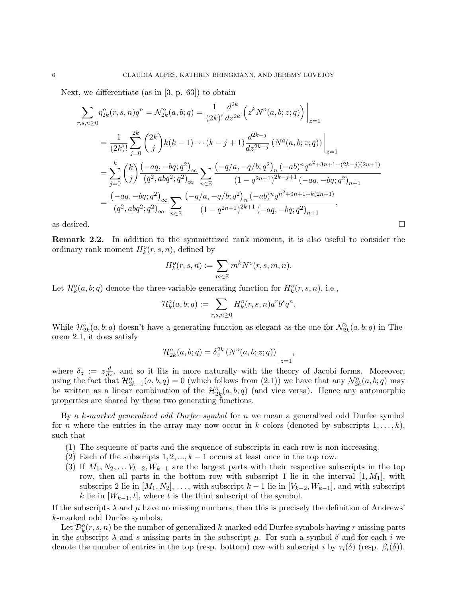Next, we differentiate (as in [3, p. 63]) to obtain

$$
\sum_{r,s,n\geq 0} \eta_{2k}^{o}(r,s,n)q^{n} = \mathcal{N}_{2k}^{o}(a,b;q) = \frac{1}{(2k)!} \frac{d^{2k}}{dz^{2k}} \left(z^{k}N^{o}(a,b;z;q)\right)\Big|_{z=1}
$$
\n
$$
= \frac{1}{(2k)!} \sum_{j=0}^{2k} {2k \choose j} k(k-1)\cdots(k-j+1) \frac{d^{2k-j}}{dz^{2k-j}} \left(N^{o}(a,b;z;q)\right)\Big|_{z=1}
$$
\n
$$
= \sum_{j=0}^{k} {k \choose j} \frac{(-aq,-bq;q^{2})_{\infty}}{(q^{2},abq^{2};q^{2})_{\infty}} \sum_{n\in\mathbb{Z}} \frac{(-q/a,-q/b;q^{2})_{n}(-ab)^{n}q^{n^{2}+3n+1+(2k-j)(2n+1)}}{(1-q^{2n+1})^{2k-j+1}(-aq,-bq;q^{2})_{n+1}}
$$
\n
$$
= \frac{(-aq,-bq;q^{2})_{\infty}}{(q^{2},abq^{2};q^{2})_{\infty}} \sum_{n\in\mathbb{Z}} \frac{(-q/a,-q/b;q^{2})_{n}(-ab)^{n}q^{n^{2}+3n+1+k(2n+1)}}{(1-q^{2n+1})^{2k+1}(-aq,-bq;q^{2})_{n+1}},
$$
\nas desired.

Remark 2.2. In addition to the symmetrized rank moment, it is also useful to consider the ordinary rank moment  $H_k^o(r, s, n)$ , defined by

$$
H_k^o(r, s, n) := \sum_{m \in \mathbb{Z}} m^k N^o(r, s, m, n).
$$

Let  $\mathcal{H}_k^o(a, b; q)$  denote the three-variable generating function for  $H_k^o(r, s, n)$ , i.e.,

$$
\mathcal{H}^o_k(a,b;q):=\sum_{r,s,n\geq 0}H^o_k(r,s,n)a^rb^sq^n.
$$

While  $\mathcal{H}_{2k}^o(a,b;q)$  doesn't have a generating function as elegant as the one for  $\mathcal{N}_{2k}^o(a,b;q)$  in Theorem 2.1, it does satisfy

$$
\mathcal{H}_{2k}^o(a,b;q) = \delta_z^{2k} \left( N^o(a,b;z;q) \right) \Big|_{z=1},
$$

where  $\delta_z := z \frac{d}{dz}$ , and so it fits in more naturally with the theory of Jacobi forms. Moreover, using the fact that  $\mathcal{H}_{2k-1}^o(a,b;q) = 0$  (which follows from (2.1)) we have that any  $\mathcal{N}_{2k}^o(a,b;q)$  may be written as a linear combination of the  $\mathcal{H}_{2k}^o(a,b;q)$  (and vice versa). Hence any automorphic properties are shared by these two generating functions.

By a k-marked generalized odd Durfee symbol for n we mean a generalized odd Durfee symbol for *n* where the entries in the array may now occur in *k* colors (denoted by subscripts  $1, \ldots, k$ ), such that

- (1) The sequence of parts and the sequence of subscripts in each row is non-increasing.
- (2) Each of the subscripts  $1, 2, ..., k-1$  occurs at least once in the top row.
- (3) If  $M_1, N_2, \ldots V_{k-2}, W_{k-1}$  are the largest parts with their respective subscripts in the top row, then all parts in the bottom row with subscript 1 lie in the interval  $[1, M_1]$ , with subscript 2 lie in  $[M_1, N_2], \ldots$ , with subscript  $k-1$  lie in  $[V_{k-2}, W_{k-1}]$ , and with subscript k lie in  $[W_{k-1}, t]$ , where t is the third subscript of the symbol.

If the subscripts  $\lambda$  and  $\mu$  have no missing numbers, then this is precisely the definition of Andrews' k-marked odd Durfee symbols.

Let  $\mathcal{D}_k^o(r,s,n)$  be the number of generalized k-marked odd Durfee symbols having r missing parts in the subscript  $\lambda$  and s missing parts in the subscript  $\mu$ . For such a symbol  $\delta$  and for each i we denote the number of entries in the top (resp. bottom) row with subscript i by  $\tau_i(\delta)$  (resp.  $\beta_i(\delta)$ ).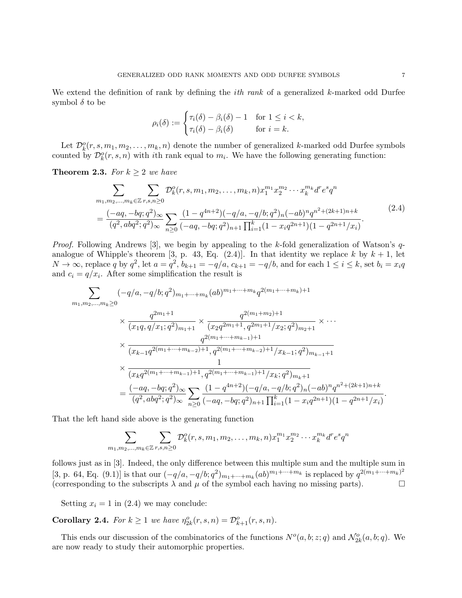We extend the definition of rank by defining the *ith rank* of a generalized  $k$ -marked odd Durfee symbol  $\delta$  to be

$$
\rho_i(\delta) := \begin{cases} \tau_i(\delta) - \beta_i(\delta) - 1 & \text{for } 1 \le i < k, \\ \tau_i(\delta) - \beta_i(\delta) & \text{for } i = k. \end{cases}
$$

Let  $\mathcal{D}_k^o(r, s, m_1, m_2, \ldots, m_k, n)$  denote the number of generalized k-marked odd Durfee symbols counted by  $\mathcal{D}_k^o(r,s,n)$  with *i*th rank equal to  $m_i$ . We have the following generating function:

**Theorem 2.3.** For  $k \geq 2$  we have

$$
\sum_{m_1, m_2, \dots, m_k \in \mathbb{Z}} \sum_{r, s, n \ge 0} \mathcal{D}_k^o(r, s, m_1, m_2, \dots, m_k, n) x_1^{m_1} x_2^{m_2} \cdots x_k^{m_k} d^r e^s q^n
$$
\n
$$
= \frac{(-aq, -bq; q^2)_{\infty}}{(q^2, abq^2; q^2)_{\infty}} \sum_{n \ge 0} \frac{(1 - q^{4n+2})(-q/a, -q/b; q^2)_n (-ab)^n q^{n^2 + (2k+1)n + k}}{(-aq, -bq; q^2)_{n+1} \prod_{i=1}^k (1 - x_i q^{2n+1})(1 - q^{2n+1}/x_i)}.
$$
\n(2.4)

*Proof.* Following Andrews [3], we begin by appealing to the k-fold generalization of Watson's  $q$ analogue of Whipple's theorem [3, p. 43, Eq. (2.4)]. In that identity we replace k by  $k + 1$ , let  $N \to \infty$ , replace q by  $q^2$ , let  $a = q^2$ ,  $b_{k+1} = -q/a$ ,  $c_{k+1} = -q/b$ , and for each  $1 \le i \le k$ , set  $b_i = x_i q$ and  $c_i = q/x_i$ . After some simplification the result is

$$
\sum_{m_1,m_2,\ldots,m_k\geq 0}(-q/a,-q/b;q^2)_{m_1+\cdots+m_k}(ab)^{m_1+\cdots+m_k}q^{2(m_1+\cdots+m_k)+1}
$$
\n
$$
\times \frac{q^{2m_1+1}}{(x_1q,q/x_1;q^2)_{m_1+1}} \times \frac{q^{2(m_1+m_2)+1}}{(x_2q^{2m_1+1},q^{2m_1+1}/x_2;q^2)_{m_2+1}} \times \cdots
$$
\n
$$
\times \frac{q^{2(m_1+\cdots+m_{k-1})+1}}{(x_{k-1}q^{2(m_1+\cdots+m_{k-2})+1},q^{2(m_1+\cdots+m_{k-2})+1}/x_{k-1};q^2)_{m_{k-1}+1}}
$$
\n
$$
\times \frac{1}{(x_kq^{2(m_1+\cdots+m_{k-1})+1},q^{2(m_1+\cdots+m_{k-1})+1}/x_k;q^2)_{m_k+1}}
$$
\n
$$
= \frac{(-aq,-bq;q^2)_{\infty}}{(q^2,abq^2;q^2)_{\infty}} \sum_{n\geq 0} \frac{(1-q^{4n+2})(-q/a,-q/b;q^2)_n(-ab)^n q^{n^2+(2k+1)n+k}}{(-aq,-bq;q^2)_{n+1} \prod_{i=1}^k (1-x_iq^{2n+1})(1-q^{2n+1}/x_i)}.
$$

That the left hand side above is the generating function

$$
\sum_{m_1,m_2,...,m_k\in\mathbb{Z}}\sum_{r,s,n\geq 0}\mathcal{D}_k^o(r,s,m_1,m_2,\ldots,m_k,n)x_1^{m_1}x_2^{m_2}\cdots x_k^{m_k}d^re^sq^n
$$

follows just as in [3]. Indeed, the only difference between this multiple sum and the multiple sum in [3, p. 64, Eq. (9.1)] is that our  $(-q/a, -q/b; q^2)_{m_1+\cdots+m_k}(ab)^{m_1+\cdots+m_k}$  is replaced by  $q^{2(m_1+\cdots+m_k)^2}$ (corresponding to the subscripts  $\lambda$  and  $\mu$  of the symbol each having no missing parts).

Setting  $x_i = 1$  in (2.4) we may conclude:

**Corollary 2.4.** For  $k \geq 1$  we have  $\eta_{2k}^o(r, s, n) = \mathcal{D}_{k+1}^o(r, s, n)$ .

This ends our discussion of the combinatorics of the functions  $N^o(a, b; z; q)$  and  $\mathcal{N}_{2k}^o(a, b; q)$ . We are now ready to study their automorphic properties.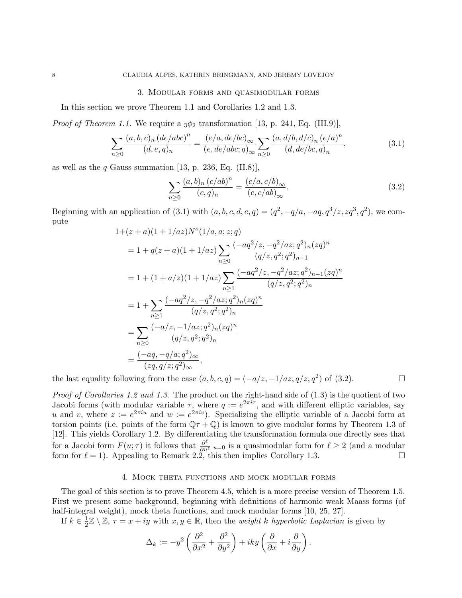### 3. Modular forms and quasimodular forms

In this section we prove Theorem 1.1 and Corollaries 1.2 and 1.3.

*Proof of Theorem 1.1.* We require a  $3\phi_2$  transformation [13, p. 241, Eq. (III.9)],

$$
\sum_{n\geq 0} \frac{(a,b,c)_n (de/abc)^n}{(d,e,q)_n} = \frac{(e/a, de/bc)_\infty}{(e, de/abc; q)_\infty} \sum_{n\geq 0} \frac{(a,d/b,d/c)_n (e/a)^n}{(d, de/bc,q)_n},\tag{3.1}
$$

as well as the  $q$ -Gauss summation [13, p. 236, Eq. (II.8)],

$$
\sum_{n\geq 0} \frac{(a, b)_n (c/ab)^n}{(c, q)_n} = \frac{(c/a, c/b)_{\infty}}{(c, c/ab)_{\infty}}.
$$
\n(3.2)

Beginning with an application of (3.1) with  $(a, b, c, d, e, q) = (q^2, -q/a, -aq, q^3/z, zq^3, q^2)$ , we compute

$$
1+(z+a)(1+1/az)N^{o}(1/a, a; z;q)
$$
  
=  $1 + q(z+a)(1+1/az) \sum_{n\geq 0} \frac{(-aq^2/z, -q^2/az;q^2)_n(zq)^n}{(q/z,q^2;q^2)_{n+1}}$   
=  $1 + (1+a/z)(1+1/az) \sum_{n\geq 1} \frac{(-aq^2/z, -q^2/az;q^2)_{n-1}(zq)^n}{(q/z,q^2;q^2)_n}$   
=  $1 + \sum_{n\geq 1} \frac{(-aq^2/z, -q^2/az;q^2)_n(zq)^n}{(q/z,q^2;q^2)_n}$   
=  $\sum_{n\geq 0} \frac{(-a/z, -1/az;q^2)_n(zq)^n}{(q/z,q^2;q^2)_n}$   
=  $\frac{(-aq, -q/a;q^2)_{\infty}}{(zq,q/z;q^2)_{\infty}},$ 

the last equality following from the case  $(a, b, c, q) = (-a/z, -1/az, q/z, q^2)$  of (3.2).

Proof of Corollaries 1.2 and 1.3. The product on the right-hand side of  $(1.3)$  is the quotient of two Jacobi forms (with modular variable  $\tau$ , where  $q := e^{2\pi i \tau}$ , and with different elliptic variables, say u and v, where  $z := e^{2\pi i u}$  and  $w := e^{2\pi i v}$ . Specializing the elliptic variable of a Jacobi form at torsion points (i.e. points of the form  $\mathbb{Q}\tau + \mathbb{Q}$ ) is known to give modular forms by Theorem 1.3 of [12]. This yields Corollary 1.2. By differentiating the transformation formula one directly sees that for a Jacobi form  $F(u; \tau)$  it follows that  $\frac{\partial^{\ell}}{\partial u}$  $\frac{\partial^{\alpha}}{\partial u^{\ell}}|_{u=0}$  is a quasimodular form for  $\ell \geq 2$  (and a modular form for  $\ell = 1$ ). Appealing to Remark 2.2, this then implies Corollary 1.3.

# 4. Mock theta functions and mock modular forms

The goal of this section is to prove Theorem 4.5, which is a more precise version of Theorem 1.5. First we present some background, beginning with definitions of harmonic weak Maass forms (of half-integral weight), mock theta functions, and mock modular forms [10, 25, 27].

If  $k \in \frac{1}{2}$  $\frac{1}{2}\mathbb{Z}\setminus\mathbb{Z}, \tau = x + iy$  with  $x, y \in \mathbb{R}$ , then the *weight k hyperbolic Laplacian* is given by

$$
\Delta_k := -y^2 \left( \frac{\partial^2}{\partial x^2} + \frac{\partial^2}{\partial y^2} \right) + iky \left( \frac{\partial}{\partial x} + i \frac{\partial}{\partial y} \right)
$$

.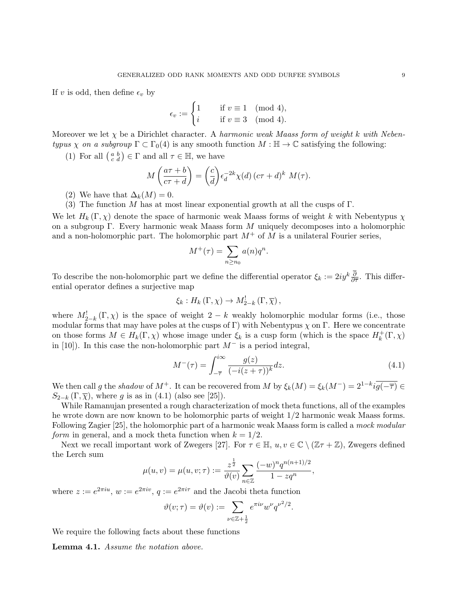If v is odd, then define  $\epsilon_v$  by

$$
\epsilon_v := \begin{cases} 1 & \text{if } v \equiv 1 \pmod{4}, \\ i & \text{if } v \equiv 3 \pmod{4}. \end{cases}
$$

Moreover we let  $\chi$  be a Dirichlet character. A harmonic weak Maass form of weight k with Nebentypus  $\chi$  on a subgroup  $\Gamma \subset \Gamma_0(4)$  is any smooth function  $M : \mathbb{H} \to \mathbb{C}$  satisfying the following:

(1) For all  $\begin{pmatrix} a & b \\ c & d \end{pmatrix} \in \Gamma$  and all  $\tau \in \mathbb{H}$ , we have

$$
M\left(\frac{a\tau+b}{c\tau+d}\right) = \left(\frac{c}{d}\right)\epsilon_d^{-2k}\chi(d)\left(c\tau+d\right)^k M(\tau).
$$

- (2) We have that  $\Delta_k(M) = 0$ .
- (3) The function M has at most linear exponential growth at all the cusps of  $\Gamma$ .

We let  $H_k(\Gamma, \chi)$  denote the space of harmonic weak Maass forms of weight k with Nebentypus  $\chi$ on a subgroup Γ. Every harmonic weak Maass form  $M$  uniquely decomposes into a holomorphic and a non-holomorphic part. The holomorphic part  $M^+$  of M is a unilateral Fourier series,

$$
M^{+}(\tau) = \sum_{n \ge n_0} a(n)q^n.
$$

To describe the non-holomorphic part we define the differential operator  $\xi_k := 2iy^k \frac{\partial}{\partial \bar{\tau}}$ . This differential operator defines a surjective map

$$
\xi_k: H_k(\Gamma, \chi) \to M_{2-k}^!(\Gamma, \overline{\chi}),
$$

where  $M_{2-k}^{\dagger}(\Gamma,\chi)$  is the space of weight  $2-k$  weakly holomorphic modular forms (i.e., those modular forms that may have poles at the cusps of Γ) with Nebentypus  $\chi$  on Γ. Here we concentrate on those forms  $M \in H_k(\Gamma, \chi)$  whose image under  $\xi_k$  is a cusp form (which is the space  $H_k^+$  $k^+(\Gamma,\chi)$ in [10]). In this case the non-holomorphic part  $M^-$  is a period integral,

$$
M^{-}(\tau) = \int_{-\overline{\tau}}^{i\infty} \frac{g(z)}{(-i(z+\tau))^{k}} dz.
$$
\n(4.1)

We then call g the shadow of  $M^+$ . It can be recovered from M by  $\xi_k(M) = \xi_k(M^-) = 2^{1-k}i\overline{g(-\overline{\tau})} \in$  $S_{2-k}(\Gamma,\overline{\chi})$ , where g is as in (4.1) (also see [25]).

While Ramanujan presented a rough characterization of mock theta functions, all of the examples he wrote down are now known to be holomorphic parts of weight 1/2 harmonic weak Maass forms. Following Zagier [25], the holomorphic part of a harmonic weak Maass form is called a mock modular form in general, and a mock theta function when  $k = 1/2$ .

Next we recall important work of Zwegers [27]. For  $\tau \in \mathbb{H}$ ,  $u, v \in \mathbb{C} \setminus (\mathbb{Z}\tau + \mathbb{Z})$ , Zwegers defined the Lerch sum

$$
\mu(u, v) = \mu(u, v; \tau) := \frac{z^{\frac{1}{2}}}{\vartheta(v)} \sum_{n \in \mathbb{Z}} \frac{(-w)^n q^{n(n+1)/2}}{1 - z q^n},
$$

where  $z := e^{2\pi i u}$ ,  $w := e^{2\pi i v}$ ,  $q := e^{2\pi i \tau}$  and the Jacobi theta function

$$
\vartheta(v;\tau) = \vartheta(v) := \sum_{\nu \in \mathbb{Z} + \frac{1}{2}} e^{\pi i \nu} w^{\nu} q^{\nu^2/2}.
$$

We require the following facts about these functions

Lemma 4.1. Assume the notation above.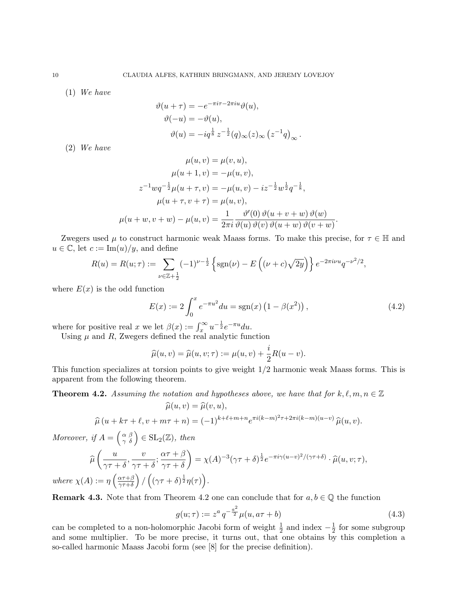(1) We have

$$
\vartheta(u+\tau) = -e^{-\pi i \tau - 2\pi i u} \vartheta(u),
$$
  

$$
\vartheta(-u) = -\vartheta(u),
$$
  

$$
\vartheta(u) = -iq^{\frac{1}{8}} z^{-\frac{1}{2}}(q)_{\infty}(z)_{\infty} (z^{-1}q)_{\infty}
$$

(2) We have

$$
\mu(u, v) = \mu(v, u),
$$
  
\n
$$
\mu(u + 1, v) = -\mu(u, v),
$$
  
\n
$$
z^{-1}wq^{-\frac{1}{2}}\mu(u + \tau, v) = -\mu(u, v) - iz^{-\frac{1}{2}}w^{\frac{1}{2}}q^{-\frac{1}{8}},
$$
  
\n
$$
\mu(u + \tau, v + \tau) = \mu(u, v),
$$
  
\n
$$
\mu(u + w, v + w) - \mu(u, v) = \frac{1}{2\pi i} \frac{\vartheta'(0) \vartheta(u + v + w) \vartheta(v)}{\vartheta(u + w) \vartheta(v + w)}.
$$

Zwegers used  $\mu$  to construct harmonic weak Maass forms. To make this precise, for  $\tau \in \mathbb{H}$  and  $u \in \mathbb{C}$ , let  $c := \text{Im}(u)/y$ , and define

$$
R(u) = R(u; \tau) := \sum_{\nu \in \mathbb{Z} + \frac{1}{2}} (-1)^{\nu - \frac{1}{2}} \left\{ \text{sgn}(\nu) - E\left( (\nu + c)\sqrt{2y} \right) \right\} e^{-2\pi i \nu u} q^{-\nu^2/2},
$$

where  $E(x)$  is the odd function

$$
E(x) := 2 \int_0^x e^{-\pi u^2} du = \text{sgn}(x) \left( 1 - \beta(x^2) \right), \tag{4.2}
$$

.

where for positive real x we let  $\beta(x) := \int_x^{\infty} u^{-\frac{1}{2}} e^{-\pi u} du$ .

Using  $\mu$  and  $R$ , Zwegers defined the real analytic function

$$
\widehat{\mu}(u,v) = \widehat{\mu}(u,v;\tau) := \mu(u,v) + \frac{i}{2}R(u-v).
$$

This function specializes at torsion points to give weight  $1/2$  harmonic weak Maass forms. This is apparent from the following theorem.

**Theorem 4.2.** Assuming the notation and hypotheses above, we have that for  $k, \ell, m, n \in \mathbb{Z}$  $\widehat{\mu}(u, v) = \widehat{\mu}(v, u),$ 

$$
\widehat{\mu}(u + k\tau + \ell, v + m\tau + n) = (-1)^{k+\ell+m+n} e^{\pi i (k-m)^2 \tau + 2\pi i (k-m)(u-v)} \widehat{\mu}(u, v).
$$

Moreover, if  $A = \begin{pmatrix} \alpha & \beta \\ \gamma & \delta \end{pmatrix} \in SL_2(\mathbb{Z})$ , then

where  $\chi$ 

$$
\widehat{\mu}\left(\frac{u}{\gamma\tau+\delta}, \frac{v}{\gamma\tau+\delta}; \frac{\alpha\tau+\beta}{\gamma\tau+\delta}\right) = \chi(A)^{-3}(\gamma\tau+\delta)^{\frac{1}{2}}e^{-\pi i\gamma(u-v)^2/(\gamma\tau+\delta)} \cdot \widehat{\mu}(u, v; \tau),
$$
\n
$$
(A) := \eta\left(\frac{\alpha\tau+\beta}{\gamma\tau+\delta}\right)/\left((\gamma\tau+\delta)^{\frac{1}{2}}\eta(\tau)\right).
$$

**Remark 4.3.** Note that from Theorem 4.2 one can conclude that for  $a, b \in \mathbb{Q}$  the function

$$
g(u; \tau) := z^a q^{-\frac{a^2}{2}} \mu(u, a\tau + b)
$$
\n(4.3)

can be completed to a non-holomorphic Jacobi form of weight  $\frac{1}{2}$  and index  $-\frac{1}{2}$  $\frac{1}{2}$  for some subgroup and some multiplier. To be more precise, it turns out, that one obtains by this completion a so-called harmonic Maass Jacobi form (see [8] for the precise definition).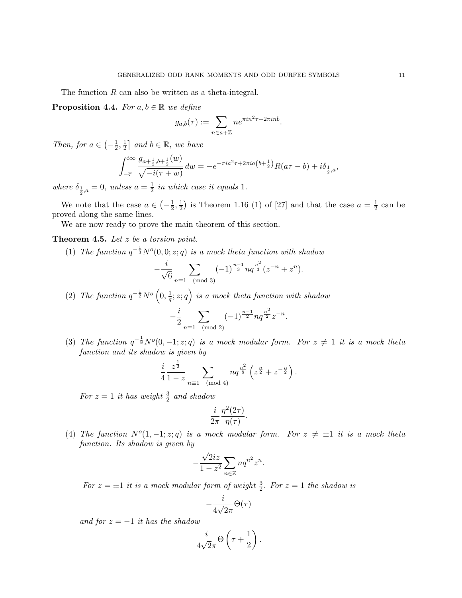The function R can also be written as a theta-integral.

**Proposition 4.4.** For  $a, b \in \mathbb{R}$  we define

$$
g_{a,b}(\tau) := \sum_{n \in a + \mathbb{Z}} n e^{\pi i n^2 \tau + 2\pi i n b}.
$$

Then, for  $a \in \left(-\frac{1}{2}\right)$  $\frac{1}{2}, \frac{1}{2}$  $\frac{1}{2}$  and  $b \in \mathbb{R}$ , we have

$$
\int_{-\overline{\tau}}^{i\infty} \frac{g_{a+\frac{1}{2},b+\frac{1}{2}}(w)}{\sqrt{-i(\tau+w)}} dw = -e^{-\pi i a^2 \tau + 2\pi i a \left(b+\frac{1}{2}\right)} R(a\tau-b) + i\delta_{\frac{1}{2},a},
$$

where  $\delta_{\frac{1}{2},a} = 0$ , unless  $a = \frac{1}{2}$  $\frac{1}{2}$  in which case it equals 1.

We note that the case  $a \in \left(-\frac{1}{2}\right)$  $\frac{1}{2}, \frac{1}{2}$  $\frac{1}{2}$ ) is Theorem 1.16 (1) of [27] and that the case  $a = \frac{1}{2}$  $rac{1}{2}$  can be proved along the same lines.

We are now ready to prove the main theorem of this section.

**Theorem 4.5.** Let  $z$  be a torsion point.

(1) The function  $q^{-\frac{1}{3}}N^o(0,0;z;q)$  is a mock theta function with shadow

$$
-\frac{i}{\sqrt{6}} \sum_{n \equiv 1 \pmod{3}} (-1)^{\frac{n-1}{3}} n q^{\frac{n^2}{3}} (z^{-n} + z^n).
$$

(2) The function  $q^{-\frac{1}{2}}N^o\left(0,\frac{1}{q}\right)$  $(\frac{1}{q}; z; q)$  is a mock theta function with shadow

$$
-\frac{i}{2} \sum_{n \equiv 1 \pmod{2}} (-1)^{\frac{n-1}{2}} n q^{\frac{n^2}{2}} z^{-n}.
$$

(3) The function  $q^{-\frac{1}{8}}N^o(0,-1;z;q)$  is a mock modular form. For  $z \neq 1$  it is a mock theta function and its shadow is given by

$$
\frac{i}{4} \frac{z^{\frac{1}{2}}}{1-z} \sum_{n \equiv 1 \pmod{4}} n q^{\frac{n^2}{8}} \left( z^{\frac{n}{2}} + z^{-\frac{n}{2}} \right).
$$

For  $z=1$  it has weight  $\frac{3}{2}$  and shadow

$$
\frac{i}{2\pi} \frac{\eta^2(2\tau)}{\eta(\tau)}.
$$

(4) The function  $N^{o}(1, -1; z; q)$  is a mock modular form. For  $z \neq \pm 1$  it is a mock theta function. Its shadow is given by

$$
-\frac{\sqrt{2}iz}{1-z^2}\sum_{n\in\mathbb{Z}}nq^{n^2}z^n.
$$

For  $z = \pm 1$  it is a mock modular form of weight  $\frac{3}{2}$ . For  $z = 1$  the shadow is

$$
-\frac{i}{4\sqrt{2}\pi}\Theta(\tau)
$$

and for  $z = -1$  it has the shadow

$$
\frac{i}{4\sqrt{2}\pi}\Theta\left(\tau+\frac{1}{2}\right).
$$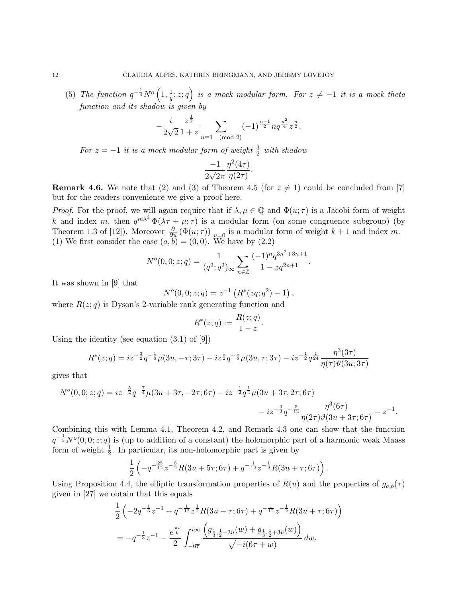(5) The function  $q^{-\frac{1}{4}}N^o\left(1,\frac{1}{q}\right)$  $\left(\frac{1}{q};z;q\right)$  is a mock modular form. For  $z\neq-1$  it is a mock theta function and its shadow is given by

$$
-\frac{i}{2\sqrt{2}}\frac{z^{\frac{1}{2}}}{1+z}\sum_{n\equiv 1\pmod{2}}(-1)^{\frac{n-1}{2}}nq^{\frac{n^2}{4}}z^{\frac{n}{2}}.
$$

For  $z = -1$  it is a mock modular form of weight  $\frac{3}{2}$  with shadow

$$
\frac{-1}{2\sqrt{2}\pi} \frac{\eta^2(4\tau)}{\eta(2\tau)}.
$$

**Remark 4.6.** We note that (2) and (3) of Theorem 4.5 (for  $z \neq 1$ ) could be concluded from [7] but for the readers convenience we give a proof here.

*Proof.* For the proof, we will again require that if  $\lambda, \mu \in \mathbb{Q}$  and  $\Phi(u; \tau)$  is a Jacobi form of weight k and index m, then  $q^{m\lambda^2}\Phi(\lambda \tau + \mu; \tau)$  is a modular form (on some congruence subgroup) (by Theorem 1.3 of [12]). Moreover  $\frac{\partial}{\partial u} (\Phi(u;\tau))|_{u=0}$  is a modular form of weight  $k+1$  and index m. (1) We first consider the case  $(a, b) = (0, 0)$ . We have by  $(2.2)$ 

$$
N^{o}(0,0;z;q) = \frac{1}{(q^2;q^2)_{\infty}} \sum_{n \in \mathbb{Z}} \frac{(-1)^n q^{3n^2+3n+1}}{1 - zq^{2n+1}}.
$$

It was shown in [9] that

$$
N^{o}(0,0;z;q) = z^{-1} \left( R^{*}(zq;q^{2}) - 1 \right),
$$

where  $R(z; q)$  is Dyson's 2-variable rank generating function and

$$
R^*(z;q) := \frac{R(z;q)}{1-z}.
$$

Using the identity (see equation  $(3.1)$  of  $[9]$ )

$$
R^*(z;q) = iz^{-\frac{3}{2}}q^{-\frac{1}{8}}\mu(3u,-\tau;3\tau) - iz^{\frac{1}{2}}q^{-\frac{1}{8}}\mu(3u,\tau;3\tau) - iz^{-\frac{1}{2}}q^{\frac{1}{24}}\frac{\eta^3(3\tau)}{\eta(\tau)\vartheta(3u;3\tau)}
$$

gives that

$$
N^{o}(0,0;z;q) = iz^{-\frac{5}{2}}q^{-\frac{7}{4}}\mu(3u+3\tau,-2\tau;6\tau) - iz^{-\frac{1}{2}}q^{\frac{1}{4}}\mu(3u+3\tau,2\tau;6\tau) - iz^{-\frac{3}{2}}q^{-\frac{5}{12}}\frac{\eta^{3}(6\tau)}{\eta(2\tau)\vartheta(3u+3\tau;6\tau)} - z^{-1}.
$$

Combining this with Lemma 4.1, Theorem 4.2, and Remark 4.3 one can show that the function  $q^{-\frac{1}{3}}N^o(0,0;z;q)$  is (up to addition of a constant) the holomorphic part of a harmonic weak Maass form of weight  $\frac{1}{2}$ . In particular, its non-holomorphic part is given by

$$
\frac{1}{2}\left(-q^{-\frac{25}{12}}z^{-\frac{5}{2}}R(3u+5\tau;6\tau)+q^{-\frac{1}{12}}z^{-\frac{1}{2}}R(3u+\tau;6\tau)\right).
$$

Using Proposition 4.4, the elliptic transformation properties of  $R(u)$  and the properties of  $g_{a,b}(\tau)$ given in [27] we obtain that this equals

$$
\frac{1}{2} \left( -2q^{-\frac{1}{3}} z^{-1} + q^{-\frac{1}{12}} z^{\frac{1}{2}} R(3u - \tau; 6\tau) + q^{-\frac{1}{12}} z^{-\frac{1}{2}} R(3u + \tau; 6\tau) \right)
$$
\n
$$
= -q^{-\frac{1}{3}} z^{-1} - \frac{e^{\frac{\pi i}{6}}}{2} \int_{-6\overline{\tau}}^{i\infty} \frac{\left( g_{\frac{1}{3},\frac{1}{2} - 3u}(w) + g_{\frac{1}{3},\frac{1}{2} + 3u}(w) \right)}{\sqrt{-i(6\tau + w)}} dw.
$$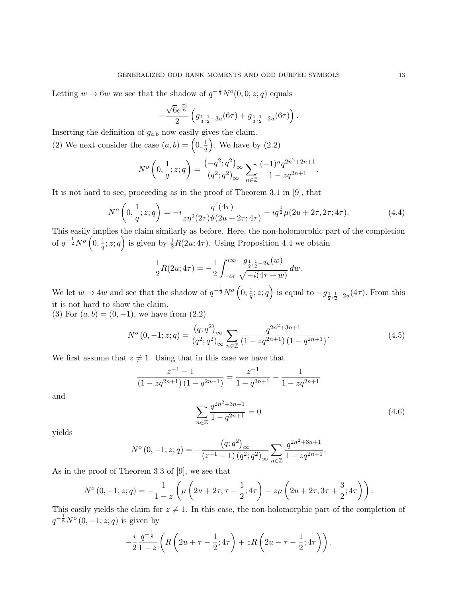Letting  $w \to 6w$  we see that the shadow of  $q^{-\frac{1}{3}}N^o(0,0; z; q)$  equals

$$
-\frac{\sqrt{6}e^{\frac{\pi i}{6}}}{2}\left(g_{\frac{1}{3},\frac{1}{2}-3u}(6\tau)+g_{\frac{1}{3},\frac{1}{2}+3u}(6\tau)\right).
$$

Inserting the definition of  $g_{a,b}$  now easily gives the claim.

(2) We next consider the case  $(a, b) = \left(0, \frac{1}{a}\right)$  $\left(\frac{1}{q}\right)$ . We have by  $(2.2)$ 

$$
N^{o}\left(0, \frac{1}{q}; z; q\right) = \frac{\left(-q^{2}; q^{2}\right)_{\infty}}{(q^{2}; q^{2})_{\infty}} \sum_{n \in \mathbb{Z}} \frac{(-1)^{n} q^{2n^{2}+2n+1}}{1 - zq^{2n+1}}.
$$

It is not hard to see, proceeding as in the proof of Theorem 3.1 in [9], that

$$
N^{o}\left(0, \frac{1}{q}; z; q\right) = -i \frac{\eta^{4}(4\tau)}{z \eta^{2}(2\tau) \vartheta(2u + 2\tau; 4\tau)} - i q^{\frac{1}{2}} \mu(2u + 2\tau, 2\tau; 4\tau).
$$
 (4.4)

This easily implies the claim similarly as before. Here, the non-holomorphic part of the completion of  $q^{-\frac{1}{2}}N^o\left(0,\frac{1}{a}\right)$  $\frac{1}{q}$ ; z; q) is given by  $\frac{1}{2}R(2u;4\tau)$ . Using Proposition 4.4 we obtain

$$
\frac{1}{2}R(2u; 4\tau) = -\frac{1}{2} \int_{-4\overline{\tau}}^{i\infty} \frac{g_{\frac{1}{2},\frac{1}{2}-2u}(w)}{\sqrt{-i(4\tau+w)}} dw.
$$

We let  $w \to 4w$  and see that the shadow of  $q^{-\frac{1}{2}}N^{\circ}\left(0, \frac{1}{q}\right)$  $(\frac{1}{q}; z; q)$  is equal to  $-g_{\frac{1}{2}, \frac{1}{2}-2u}(4\tau)$ . From this it is not hard to show the claim.

(3) For  $(a, b) = (0, -1)$ , we have from  $(2.2)$ 

$$
N^{o}(0,-1;z;q) = \frac{(q;q^2)_{\infty}}{(q^2;q^2)_{\infty}} \sum_{n \in \mathbb{Z}} \frac{q^{2n^2+3n+1}}{(1-zq^{2n+1})(1-q^{2n+1})}.
$$
\n(4.5)

We first assume that  $z \neq 1$ . Using that in this case we have that

$$
\frac{z^{-1}-1}{(1-zq^{2n+1})(1-q^{2n+1})} = \frac{z^{-1}}{1-q^{2n+1}} - \frac{1}{1-zq^{2n+1}}
$$

and

$$
\sum_{n\in\mathbb{Z}} \frac{q^{2n^2+3n+1}}{1-q^{2n+1}} = 0\tag{4.6}
$$

yields

$$
N^{o}(0,-1;z;q) = -\frac{(q;q^2)_{\infty}}{(z^{-1}-1) (q^2;q^2)_{\infty}} \sum_{n \in \mathbb{Z}} \frac{q^{2n^2+3n+1}}{1 - zq^{2n+1}}.
$$

As in the proof of Theorem 3.3 of [9], we see that

$$
N^{o}(0,-1;z;q) = -\frac{1}{1-z}\left(\mu\left(2u+2\tau,\tau+\frac{1}{2};4\tau\right) - z\mu\left(2u+2\tau,3\tau+\frac{3}{2};4\tau\right)\right).
$$

This easily yields the claim for  $z \neq 1$ . In this case, the non-holomorphic part of the completion of  $q^{-\frac{1}{8}}N^o(0,-1;z;q)$  is given by

$$
-\frac{i}{2}\frac{q^{-\frac{1}{8}}}{1-z}\left(R\left(2u+\tau-\frac{1}{2};4\tau\right)+zR\left(2u-\tau-\frac{1}{2};4\tau\right)\right).
$$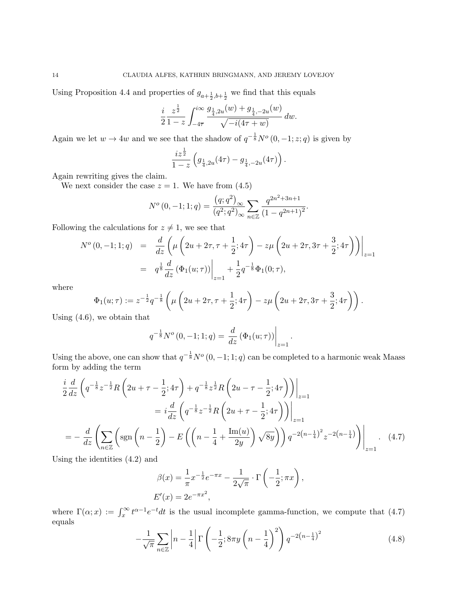Using Proposition 4.4 and properties of  $g_{a+\frac{1}{2},b+\frac{1}{2}}$  we find that this equals

$$
\frac{i}{2} \frac{z^{\frac{1}{2}}}{1-z} \int_{-4\overline{\tau}}^{i\infty} \frac{g_{\frac{1}{4},2u}(w) + g_{\frac{1}{4},-2u}(w)}{\sqrt{-i(4\tau + w)}} dw.
$$

Again we let  $w \to 4w$  and we see that the shadow of  $q^{-\frac{1}{8}}N^o(0,-1;z;q)$  is given by

$$
\frac{iz^{\frac{1}{2}}}{1-z}\left(g_{\frac{1}{4},2u}(4\tau)-g_{\frac{1}{4},-2u}(4\tau)\right).
$$

Again rewriting gives the claim.

We next consider the case  $z = 1$ . We have from  $(4.5)$ 

$$
N^{o}(0,-1;1;q) = \frac{(q;q^2)_{\infty}}{(q^2;q^2)_{\infty}} \sum_{n \in \mathbb{Z}} \frac{q^{2n^2+3n+1}}{(1-q^{2n+1})^2}.
$$

Following the calculations for  $z \neq 1$ , we see that

$$
N^{o}(0,-1;1;q) = \frac{d}{dz} \left( \mu \left( 2u + 2\tau, \tau + \frac{1}{2}; 4\tau \right) - z\mu \left( 2u + 2\tau, 3\tau + \frac{3}{2}; 4\tau \right) \right) \Big|_{z=1}
$$
  
=  $q^{\frac{1}{8}} \frac{d}{dz} (\Phi_1(u;\tau)) \Big|_{z=1} + \frac{1}{2} q^{-\frac{1}{8}} \Phi_1(0;\tau),$ 

where

$$
\Phi_1(u;\tau) := z^{-\frac{1}{2}} q^{-\frac{1}{8}} \left( \mu \left( 2u + 2\tau, \tau + \frac{1}{2}; 4\tau \right) - z\mu \left( 2u + 2\tau, 3\tau + \frac{3}{2}; 4\tau \right) \right).
$$

Using (4.6), we obtain that

$$
q^{-\frac{1}{8}}N^{o}(0,-1;1;q) = \frac{d}{dz}(\Phi_1(u;\tau))\Big|_{z=1}.
$$

Using the above, one can show that  $q^{-\frac{1}{8}}N^o(0,-1;1;q)$  can be completed to a harmonic weak Maass form by adding the term

$$
\frac{i}{2}\frac{d}{dz}\left(q^{-\frac{1}{8}}z^{-\frac{1}{2}}R\left(2u+\tau-\frac{1}{2};4\tau\right)+q^{-\frac{1}{8}}z^{\frac{1}{2}}R\left(2u-\tau-\frac{1}{2};4\tau\right)\right)\Big|_{z=1}
$$
\n
$$
=i\frac{d}{dz}\left(q^{-\frac{1}{8}}z^{-\frac{1}{2}}R\left(2u+\tau-\frac{1}{2};4\tau\right)\right)\Big|_{z=1}
$$
\n
$$
=-\frac{d}{dz}\left(\sum_{n\in\mathbb{Z}}\left(\text{sgn}\left(n-\frac{1}{2}\right)-E\left(\left(n-\frac{1}{4}+\frac{\text{Im}(u)}{2y}\right)\sqrt{8y}\right)\right)q^{-2\left(n-\frac{1}{4}\right)^{2}}z^{-2\left(n-\frac{1}{4}\right)}\right)\Big|_{z=1}.
$$
\n(4.7)

Using the identities (4.2) and

$$
\beta(x) = \frac{1}{\pi} x^{-\frac{1}{2}} e^{-\pi x} - \frac{1}{2\sqrt{\pi}} \cdot \Gamma\left(-\frac{1}{2}; \pi x\right),
$$
  

$$
E'(x) = 2e^{-\pi x^2},
$$

where  $\Gamma(\alpha; x) := \int_x^{\infty} t^{\alpha-1} e^{-t} dt$  is the usual incomplete gamma-function, we compute that (4.7) equals

$$
-\frac{1}{\sqrt{\pi}}\sum_{n\in\mathbb{Z}}\left|n-\frac{1}{4}\right|\Gamma\left(-\frac{1}{2};8\pi y\left(n-\frac{1}{4}\right)^2\right)q^{-2\left(n-\frac{1}{4}\right)^2}
$$
(4.8)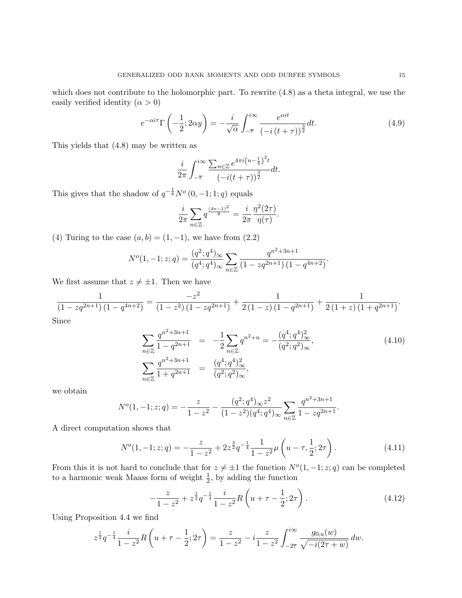which does not contribute to the holomorphic part. To rewrite (4.8) as a theta integral, we use the easily verified identity  $(\alpha > 0)$ 

$$
e^{-\alpha i\tau} \Gamma\left(-\frac{1}{2}; 2\alpha y\right) = -\frac{i}{\sqrt{\alpha}} \int_{-\overline{\tau}}^{i\infty} \frac{e^{\alpha i t}}{\left(-i\left(t+\tau\right)\right)^{\frac{3}{2}}} dt. \tag{4.9}
$$

This yields that (4.8) may be written as

$$
\frac{i}{2\pi} \int_{-\overline{\tau}}^{i\infty} \frac{\sum_{n\in\mathbb{Z}} e^{4\pi i \left(n - \frac{1}{4}\right)^2 t}}{\left(-i(t + \tau)\right)^{\frac{3}{2}}} dt.
$$

This gives that the shadow of  $q^{-\frac{1}{8}}N^o(0,-1;1;q)$  equals

$$
\frac{i}{2\pi} \sum_{n \in \mathbb{Z}} q^{\frac{(4n-1)^2}{8}} = \frac{i}{2\pi} \frac{\eta^2(2\tau)}{\eta(\tau)}.
$$

(4) Turing to the case  $(a, b) = (1, -1)$ , we have from  $(2.2)$ 

$$
N^{o}(1, -1; z; q) = \frac{(q^{2}; q^{4})_{\infty}}{(q^{4}; q^{4})_{\infty}} \sum_{n \in \mathbb{Z}} \frac{q^{n^{2}+3n+1}}{(1 - zq^{2n+1})(1 - q^{4n+2})}.
$$

We first assume that  $z \neq \pm 1$ . Then we have

$$
\frac{1}{\left(1-zq^{2n+1}\right)\left(1-q^{4n+2}\right)}=\frac{-z^2}{\left(1-z^2\right)\left(1-zq^{2n+1}\right)}+\frac{1}{2\left(1-z\right)\left(1-q^{2n+1}\right)}+\frac{1}{2\left(1+z\right)\left(1+q^{2n+1}\right)}.
$$

Since

$$
\sum_{n\in\mathbb{Z}} \frac{q^{n^2+3n+1}}{1-q^{2n+1}} = -\frac{1}{2} \sum_{n\in\mathbb{Z}} q^{n^2+n} = -\frac{(q^4;q^4)_{\infty}^2}{(q^2;q^2)_{\infty}},
$$
\n
$$
\sum_{n\in\mathbb{Z}} \frac{q^{n^2+3n+1}}{1+q^{2n+1}} = \frac{(q^4;q^4)_{\infty}^2}{(q^2;q^2)_{\infty}},
$$
\n(4.10)

we obtain

$$
N^{o}(1, -1; z; q) = -\frac{z}{1 - z^{2}} - \frac{(q^{2}; q^{4})_{\infty} z^{2}}{(1 - z^{2})(q^{4}; q^{4})_{\infty}} \sum_{n \in \mathbb{Z}} \frac{q^{n^{2} + 3n + 1}}{1 - zq^{2n + 1}}.
$$

A direct computation shows that

$$
N^{o}(1, -1; z; q) = -\frac{z}{1 - z^{2}} + 2z^{\frac{3}{2}}q^{-\frac{1}{4}}\frac{1}{1 - z^{2}}\mu\left(u - \tau, \frac{1}{2}; 2\tau\right).
$$
 (4.11)

From this it is not hard to conclude that for  $z \neq \pm 1$  the function  $N<sup>o</sup>(1, -1; z; q)$  can be completed to a harmonic weak Maass form of weight  $\frac{1}{2}$ , by adding the function

$$
-\frac{z}{1-z^2} + z^{\frac{1}{2}}q^{-\frac{1}{4}}\frac{i}{1-z^2}R\left(u+\tau-\frac{1}{2};2\tau\right).
$$
 (4.12)

Using Proposition 4.4 we find

$$
z^{\frac{1}{2}}q^{-\frac{1}{4}}\frac{i}{1-z^2}R\left(u+\tau-\frac{1}{2};2\tau\right)=\frac{z}{1-z^2}-i\frac{z}{1-z^2}\int_{-2\overline{\tau}}^{i\infty}\frac{g_{0,u}(w)}{\sqrt{-i(2\tau+w)}}\,dw.
$$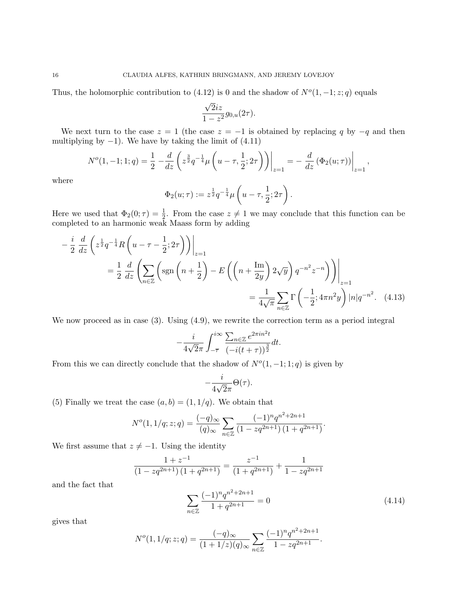Thus, the holomorphic contribution to  $(4.12)$  is 0 and the shadow of  $N^{o}(1, -1; z; q)$  equals

$$
\frac{\sqrt{2}iz}{1-z^2}g_{0,u}(2\tau).
$$

We next turn to the case  $z = 1$  (the case  $z = -1$  is obtained by replacing q by  $-q$  and then multiplying by  $-1$ ). We have by taking the limit of  $(4.11)$ 

$$
N^{o}(1,-1;1;q) = \frac{1}{2} - \frac{d}{dz} \left( z^{\frac{3}{2}} q^{-\frac{1}{4}} \mu \left( u - \tau, \frac{1}{2}; 2\tau \right) \right) \Big|_{z=1} = - \left. \frac{d}{dz} \left( \Phi_2(u;\tau) \right) \right|_{z=1},
$$

where

$$
\Phi_2(u;\tau) := z^{\frac{1}{2}} q^{-\frac{1}{4}} \mu\left(u - \tau, \frac{1}{2}; 2\tau\right).
$$

Here we used that  $\Phi_2(0; \tau) = \frac{1}{2}$ . From the case  $z \neq 1$  we may conclude that this function can be completed to an harmonic weak Maass form by adding

$$
-\frac{i}{2}\frac{d}{dz}\left(z^{\frac{1}{2}}q^{-\frac{1}{4}}R\left(u-\tau-\frac{1}{2};2\tau\right)\right)\Big|_{z=1}
$$
  

$$
=\frac{1}{2}\frac{d}{dz}\left(\sum_{n\in\mathbb{Z}}\left(\text{sgn}\left(n+\frac{1}{2}\right)-E\left(\left(n+\frac{\text{Im}}{2y}\right)2\sqrt{y}\right)q^{-n^2}z^{-n}\right)\right)\Big|_{z=1}
$$
  

$$
=\frac{1}{4\sqrt{\pi}}\sum_{n\in\mathbb{Z}}\Gamma\left(-\frac{1}{2};4\pi n^2y\right)|n|q^{-n^2}.\quad(4.13)
$$

We now proceed as in case (3). Using (4.9), we rewrite the correction term as a period integral

$$
-\frac{i}{4\sqrt{2}\pi} \int_{-\overline{\tau}}^{i\infty} \frac{\sum_{n\in\mathbb{Z}} e^{2\pi i n^2 t}}{\left(-i(t+\tau)\right)^{\frac{3}{2}}} dt.
$$

From this we can directly conclude that the shadow of  $N<sup>o</sup>(1, -1; 1; q)$  is given by

$$
-\frac{i}{4\sqrt{2}\pi}\Theta(\tau).
$$

(5) Finally we treat the case  $(a, b) = (1, 1/q)$ . We obtain that

$$
N^{o}(1, 1/q; z; q) = \frac{(-q)_{\infty}}{(q)_{\infty}} \sum_{n \in \mathbb{Z}} \frac{(-1)^{n} q^{n^{2} + 2n + 1}}{(1 - zq^{2n + 1})(1 + q^{2n + 1})}.
$$

We first assume that  $z \neq -1$ . Using the identity

$$
\frac{1+z^{-1}}{\left(1-zq^{2n+1}\right)\left(1+q^{2n+1}\right)} = \frac{z^{-1}}{\left(1+q^{2n+1}\right)} + \frac{1}{1-zq^{2n+1}}
$$

and the fact that

$$
\sum_{n \in \mathbb{Z}} \frac{(-1)^n q^{n^2 + 2n + 1}}{1 + q^{2n + 1}} = 0
$$
\n(4.14)

gives that

$$
N^{o}(1, 1/q; z; q) = \frac{(-q)_{\infty}}{(1 + 1/z)(q)_{\infty}} \sum_{n \in \mathbb{Z}} \frac{(-1)^n q^{n^2 + 2n + 1}}{1 - zq^{2n + 1}}.
$$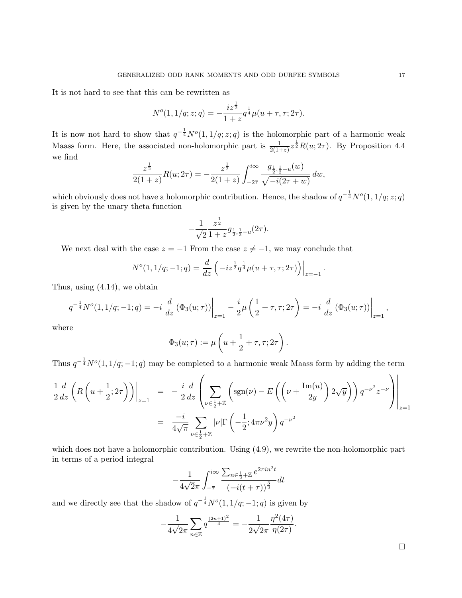It is not hard to see that this can be rewritten as

$$
N^{o}(1, 1/q; z; q) = -\frac{iz^{\frac{1}{2}}}{1+z}q^{\frac{1}{4}}\mu(u+\tau, \tau; 2\tau).
$$

It is now not hard to show that  $q^{-\frac{1}{4}}N^o(1,1/q;z;q)$  is the holomorphic part of a harmonic weak Maass form. Here, the associated non-holomorphic part is  $\frac{1}{2(1+z)}z^{\frac{1}{2}}R(u;2\tau)$ . By Proposition 4.4 we find

$$
\frac{z^{\frac{1}{2}}}{2(1+z)}R(u;2\tau) = -\frac{z^{\frac{1}{2}}}{2(1+z)}\int_{-2\overline{\tau}}^{i\infty} \frac{g_{\frac{1}{2},\frac{1}{2}-u}(w)}{\sqrt{-i(2\tau+w)}} dw,
$$

which obviously does not have a holomorphic contribution. Hence, the shadow of  $q^{-\frac{1}{4}}N^o(1,1/q;z;q)$ is given by the unary theta function

$$
-\frac{1}{\sqrt{2}}\frac{z^{\frac{1}{2}}}{1+z}g_{\frac{1}{2},\frac{1}{2}-u}(2\tau).
$$

We next deal with the case  $z = -1$  From the case  $z \neq -1$ , we may conclude that

$$
N^{o}(1, 1/q; -1; q) = \frac{d}{dz} \left( -iz^{\frac{1}{2}} q^{\frac{1}{4}} \mu(u + \tau, \tau; 2\tau) \right) \Big|_{z=-1}.
$$

Thus, using (4.14), we obtain

$$
q^{-\frac{1}{4}}N^{o}(1,1/q;-1;q) = -i \left. \frac{d}{dz} (\Phi_3(u;\tau)) \right|_{z=1} - \frac{i}{2}\mu \left( \frac{1}{2} + \tau, \tau; 2\tau \right) = -i \left. \frac{d}{dz} (\Phi_3(u;\tau)) \right|_{z=1},
$$

where

$$
\Phi_3(u;\tau) := \mu\left(u + \frac{1}{2} + \tau, \tau; 2\tau\right).
$$

Thus  $q^{-\frac{1}{4}}N^o(1,1/q;-1;q)$  may be completed to a harmonic weak Maass form by adding the term

$$
\frac{1}{2}\frac{d}{dz}\left(R\left(u+\frac{1}{2};2\tau\right)\right)\Big|_{z=1} = -\frac{i}{2}\frac{d}{dz}\left(\sum_{\nu\in\frac{1}{2}+\mathbb{Z}}\left(\text{sgn}(\nu)-E\left(\left(\nu+\frac{\text{Im}(u)}{2y}\right)2\sqrt{y}\right)\right)q^{-\nu^2}z^{-\nu}\right)\Big|_{z=1}
$$
\n
$$
= \frac{-i}{4\sqrt{\pi}}\sum_{\nu\in\frac{1}{2}+\mathbb{Z}}|\nu|\Gamma\left(-\frac{1}{2};4\pi\nu^2y\right)q^{-\nu^2}
$$

which does not have a holomorphic contribution. Using  $(4.9)$ , we rewrite the non-holomorphic part in terms of a period integral

$$
-\frac{1}{4\sqrt{2}\pi} \int_{-\overline{\tau}}^{i\infty} \frac{\sum_{n \in \frac{1}{2} + \mathbb{Z}} e^{2\pi i n^2 t}}{(-i(t + \tau))^{\frac{3}{2}}} dt
$$

and we directly see that the shadow of  $q^{-\frac{1}{4}}N^o(1,1/q;-1;q)$  is given by

$$
-\frac{1}{4\sqrt{2}\pi} \sum_{n\in\mathbb{Z}} q^{\frac{(2n+1)^2}{4}} = -\frac{1}{2\sqrt{2}\pi} \frac{\eta^2(4\tau)}{\eta(2\tau)}.
$$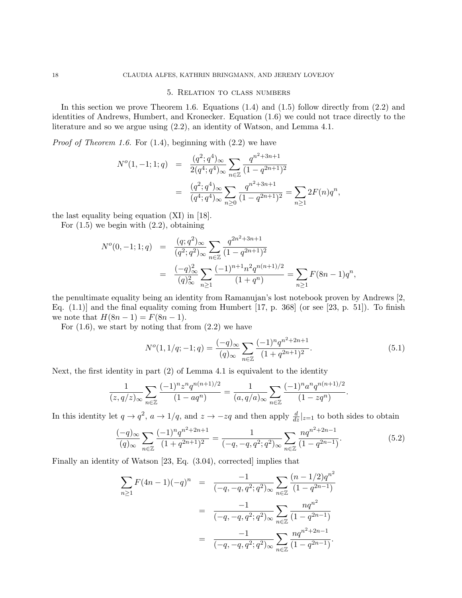### 5. Relation to class numbers

In this section we prove Theorem 1.6. Equations  $(1.4)$  and  $(1.5)$  follow directly from  $(2.2)$  and identities of Andrews, Humbert, and Kronecker. Equation (1.6) we could not trace directly to the literature and so we argue using (2.2), an identity of Watson, and Lemma 4.1.

*Proof of Theorem 1.6.* For  $(1.4)$ , beginning with  $(2.2)$  we have

$$
N^{o}(1, -1; 1; q) = \frac{(q^{2}; q^{4})_{\infty}}{2(q^{4}; q^{4})_{\infty}} \sum_{n \in \mathbb{Z}} \frac{q^{n^{2}+3n+1}}{(1-q^{2n+1})^{2}}
$$
  
= 
$$
\frac{(q^{2}; q^{4})_{\infty}}{(q^{4}; q^{4})_{\infty}} \sum_{n \geq 0} \frac{q^{n^{2}+3n+1}}{(1-q^{2n+1})^{2}} = \sum_{n \geq 1} 2F(n)q^{n},
$$

the last equality being equation (XI) in [18].

For  $(1.5)$  we begin with  $(2.2)$ , obtaining

$$
N^{o}(0, -1; 1; q) = \frac{(q; q^{2})_{\infty}}{(q^{2}; q^{2})_{\infty}} \sum_{n \in \mathbb{Z}} \frac{q^{2n^{2}+3n+1}}{(1-q^{2n+1})^{2}}
$$
  
= 
$$
\frac{(-q)^{2}_{\infty}}{(q)^{2}_{\infty}} \sum_{n \geq 1} \frac{(-1)^{n+1} n^{2} q^{n(n+1)/2}}{(1+q^{n})} = \sum_{n \geq 1} F(8n - 1) q^{n},
$$

the penultimate equality being an identity from Ramanujan's lost notebook proven by Andrews [2, Eq.  $(1.1)$  and the final equality coming from Humbert  $[17, p. 368]$  (or see  $[23, p. 51]$ ). To finish we note that  $H(8n - 1) = F(8n - 1)$ .

For  $(1.6)$ , we start by noting that from  $(2.2)$  we have

$$
N^{o}(1, 1/q; -1; q) = \frac{(-q)_{\infty}}{(q)_{\infty}} \sum_{n \in \mathbb{Z}} \frac{(-1)^{n} q^{n^{2} + 2n + 1}}{(1 + q^{2n + 1})^{2}}.
$$
\n(5.1)

Next, the first identity in part (2) of Lemma 4.1 is equivalent to the identity

$$
\frac{1}{(z,q/z)_{\infty}}\sum_{n\in\mathbb{Z}}\frac{(-1)^nz^nq^{n(n+1)/2}}{(1-aq^n)}=\frac{1}{(a,q/a)_{\infty}}\sum_{n\in\mathbb{Z}}\frac{(-1)^na^nq^{n(n+1)/2}}{(1-zq^n)}.
$$

In this identity let  $q \to q^2$ ,  $a \to 1/q$ , and  $z \to -zq$  and then apply  $\frac{d}{dz}|_{z=1}$  to both sides to obtain

$$
\frac{(-q)_{\infty}}{(q)_{\infty}} \sum_{n \in \mathbb{Z}} \frac{(-1)^n q^{n^2 + 2n + 1}}{(1 + q^{2n + 1})^2} = \frac{1}{(-q, -q, q^2; q^2)_{\infty}} \sum_{n \in \mathbb{Z}} \frac{n q^{n^2 + 2n - 1}}{(1 - q^{2n - 1})}. \tag{5.2}
$$

Finally an identity of Watson [23, Eq. (3.04), corrected] implies that

$$
\sum_{n\geq 1} F(4n-1)(-q)^n = \frac{-1}{(-q,-q,q^2;q^2)_{\infty}} \sum_{n\in\mathbb{Z}} \frac{(n-1/2)q^{n^2}}{(1-q^{2n-1})}
$$

$$
= \frac{-1}{(-q,-q,q^2;q^2)_{\infty}} \sum_{n\in\mathbb{Z}} \frac{nq^{n^2}}{(1-q^{2n-1})}
$$

$$
= \frac{-1}{(-q,-q,q^2;q^2)_{\infty}} \sum_{n\in\mathbb{Z}} \frac{nq^{n^2+2n-1}}{(1-q^{2n-1})}.
$$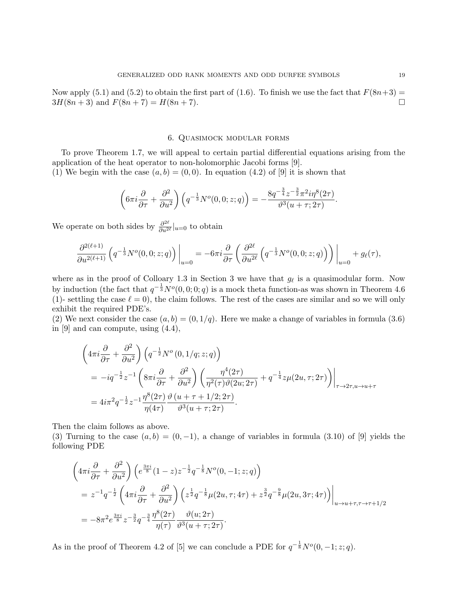Now apply (5.1) and (5.2) to obtain the first part of (1.6). To finish we use the fact that  $F(8n+3) =$  $3H(8n+3)$  and  $F(8n+7) = H(8n+7)$ .

# 6. Quasimock modular forms

To prove Theorem 1.7, we will appeal to certain partial differential equations arising from the application of the heat operator to non-holomorphic Jacobi forms [9].

(1) We begin with the case  $(a, b) = (0, 0)$ . In equation (4.2) of [9] it is shown that

$$
\left(6\pi i \frac{\partial}{\partial \tau} + \frac{\partial^2}{\partial u^2}\right) \left(q^{-\frac{1}{3}}N^o(0,0;z;q)\right) = -\frac{8q^{-\frac{3}{4}}z^{-\frac{3}{2}}\pi^2 i\eta^8(2\tau)}{\vartheta^3(u+\tau;2\tau)}.
$$

We operate on both sides by  $\frac{\partial^{2\ell}}{\partial y^2}$  $\frac{\partial^{2\alpha}}{\partial u^{2\ell}}|_{u=0}$  to obtain

$$
\frac{\partial^{2(\ell+1)}}{\partial u^{2(\ell+1)}} \left( q^{-\frac{1}{3}} N^o(0,0;z;q) \right) \bigg|_{u=0} = -6\pi i \frac{\partial}{\partial \tau} \left( \frac{\partial^{2\ell}}{\partial u^{2\ell}} \left( q^{-\frac{1}{3}} N^o(0,0;z;q) \right) \right) \bigg|_{u=0} + g_{\ell}(\tau),
$$

where as in the proof of Colloary 1.3 in Section 3 we have that  $g_{\ell}$  is a quasimodular form. Now by induction (the fact that  $q^{-\frac{1}{3}}N^o(0,0;0;q)$  is a mock theta function-as was shown in Theorem 4.6 (1)- settling the case  $\ell = 0$ ), the claim follows. The rest of the cases are similar and so we will only exhibit the required PDE's.

(2) We next consider the case  $(a, b) = (0, 1/q)$ . Here we make a change of variables in formula (3.6) in [9] and can compute, using (4.4),

$$
\begin{split}\n&\left(4\pi i \frac{\partial}{\partial \tau} + \frac{\partial^2}{\partial u^2}\right) \left(q^{-\frac{1}{2}} N^o\left(0, 1/q; z; q\right)\right) \\
&= -iq^{-\frac{1}{2}} z^{-1} \left(8\pi i \frac{\partial}{\partial \tau} + \frac{\partial^2}{\partial u^2}\right) \left(\frac{\eta^4 (2\tau)}{\eta^2(\tau) \vartheta(2u; 2\tau)} + q^{-\frac{1}{4}} z \mu(2u, \tau; 2\tau)\right)\bigg|_{\tau \to 2\tau, u \to u + \tau} \\
&= 4i\pi^2 q^{-\frac{1}{2}} z^{-1} \frac{\eta^8 (2\tau)}{\eta(4\tau)} \frac{\vartheta\left(u + \tau + 1/2; 2\tau\right)}{\vartheta^3 (u + \tau; 2\tau)}.\n\end{split}
$$

Then the claim follows as above.

(3) Turning to the case  $(a, b) = (0, -1)$ , a change of variables in formula (3.10) of [9] yields the following PDE

$$
\begin{split}\n&\left(4\pi i \frac{\partial}{\partial \tau} + \frac{\partial^2}{\partial u^2}\right) \left(e^{\frac{3\pi i}{8}} (1-z) z^{-\frac{1}{2}} q^{-\frac{1}{8}} N^o(0, -1; z; q)\right) \\
&= z^{-1} q^{-\frac{1}{2}} \left(4\pi i \frac{\partial}{\partial \tau} + \frac{\partial^2}{\partial u^2}\right) \left(z^{\frac{1}{2}} q^{-\frac{1}{8}} \mu(2u, \tau; 4\tau) + z^{\frac{3}{2}} q^{-\frac{9}{8}} \mu(2u, 3\tau; 4\tau)\right)\bigg|_{u \to u + \tau, \tau \to \tau + 1/2} \\
&= -8\pi^2 e^{\frac{3\pi i}{8}} z^{-\frac{3}{2}} q^{-\frac{3}{4}} \frac{\eta^8(2\tau)}{\eta(\tau)} \frac{\vartheta(u; 2\tau)}{\vartheta^3(u + \tau; 2\tau)}.\n\end{split}
$$

As in the proof of Theorem 4.2 of [5] we can conclude a PDE for  $q^{-\frac{1}{8}}N^o(0,-1;z;q)$ .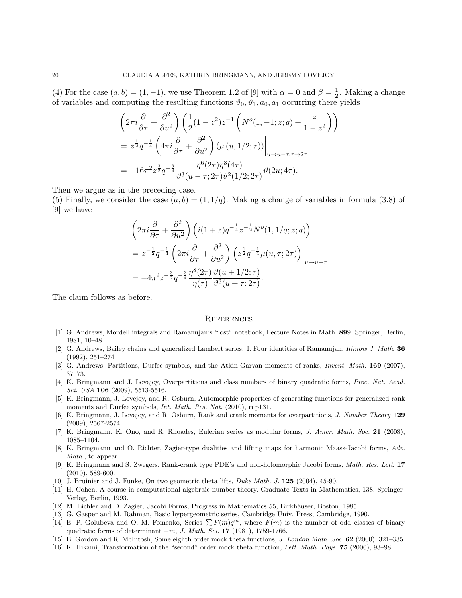(4) For the case  $(a, b) = (1, -1)$ , we use Theorem 1.2 of [9] with  $\alpha = 0$  and  $\beta = \frac{1}{2}$  $\frac{1}{2}$ . Making a change of variables and computing the resulting functions  $\vartheta_0$ ,  $\vartheta_1$ ,  $a_0$ ,  $a_1$  occurring there yields

$$
\left(2\pi i \frac{\partial}{\partial \tau} + \frac{\partial^2}{\partial u^2}\right) \left(\frac{1}{2}(1-z^2)z^{-1}\left(N^o(1,-1;z;q) + \frac{z}{1-z^2}\right)\right)
$$
  
=  $z^{\frac{1}{2}}q^{-\frac{1}{4}}\left(4\pi i \frac{\partial}{\partial \tau} + \frac{\partial^2}{\partial u^2}\right) \left(\mu(u,1/2;\tau)\right)\Big|_{u \to u-\tau,\tau \to 2\tau}$   
=  $-16\pi^2 z^{\frac{3}{2}}q^{-\frac{3}{4}} \frac{\eta^6(2\tau)\eta^3(4\tau)}{\vartheta^3(u-\tau;2\tau)\vartheta^2(1/2;2\tau)}\vartheta(2u;4\tau).$ 

Then we argue as in the preceding case.

(5) Finally, we consider the case  $(a, b) = (1, 1/q)$ . Making a change of variables in formula (3.8) of [9] we have

$$
\left(2\pi i \frac{\partial}{\partial \tau} + \frac{\partial^2}{\partial u^2}\right) \left(i(1+z)q^{-\frac{1}{4}}z^{-\frac{1}{2}}N^o(1,1/q;z;q)\right)
$$
  
=  $z^{-\frac{1}{2}}q^{-\frac{1}{4}}\left(2\pi i \frac{\partial}{\partial \tau} + \frac{\partial^2}{\partial u^2}\right) \left(z^{\frac{1}{2}}q^{-\frac{1}{4}}\mu(u,\tau;2\tau)\right)\Big|_{u \to u+\tau}$   
=  $-4\pi^2 z^{-\frac{3}{2}}q^{-\frac{3}{4}}\frac{\eta^8(2\tau)}{\eta(\tau)} \frac{\vartheta(u+1/2;\tau)}{\vartheta^3(u+\tau;2\tau)}.$ 

The claim follows as before.

#### **REFERENCES**

- [1] G. Andrews, Mordell integrals and Ramanujan's "lost" notebook, Lecture Notes in Math. 899, Springer, Berlin, 1981, 10–48.
- [2] G. Andrews, Bailey chains and generalized Lambert series: I. Four identities of Ramanujan, Illinois J. Math. 36 (1992), 251–274.
- [3] G. Andrews, Partitions, Durfee symbols, and the Atkin-Garvan moments of ranks, *Invent. Math.* **169** (2007), 37–73.
- [4] K. Bringmann and J. Lovejoy, Overpartitions and class numbers of binary quadratic forms, Proc. Nat. Acad. Sci. USA **106** (2009), 5513-5516.
- [5] K. Bringmann, J. Lovejoy, and R. Osburn, Automorphic properties of generating functions for generalized rank moments and Durfee symbols, *Int. Math. Res. Not.* (2010), rnp131.
- [6] K. Bringmann, J. Lovejoy, and R. Osburn, Rank and crank moments for overpartitions, J. Number Theory 129 (2009), 2567-2574.
- [7] K. Bringmann, K. Ono, and R. Rhoades, Eulerian series as modular forms, J. Amer. Math. Soc. 21 (2008), 1085–1104.
- [8] K. Bringmann and O. Richter, Zagier-type dualities and lifting maps for harmonic Maass-Jacobi forms, Adv. Math., to appear.
- [9] K. Bringmann and S. Zwegers, Rank-crank type PDE's and non-holomorphic Jacobi forms, Math. Res. Lett. 17 (2010), 589-600.
- [10] J. Bruinier and J. Funke, On two geometric theta lifts, Duke Math. J. 125 (2004), 45-90.
- [11] H. Cohen, A course in computational algebraic number theory. Graduate Texts in Mathematics, 138, Springer-Verlag, Berlin, 1993.
- [12] M. Eichler and D. Zagier, Jacobi Forms, Progress in Mathematics 55, Birkhäuser, Boston, 1985.
- [13] G. Gasper and M. Rahman, Basic hypergeometric series, Cambridge Univ. Press, Cambridge, 1990.
- [14] E. P. Golubeva and O. M. Fomenko, Series  $\sum F(m)q^m$ , where  $F(m)$  is the number of odd classes of binary quadratic forms of determinant  $-m$ , J. Math. Sci. 17 (1981), 1759-1766.
- [15] B. Gordon and R. McIntosh, Some eighth order mock theta functions, *J. London Math. Soc.* 62 (2000), 321–335.
- [16] K. Hikami, Transformation of the "second" order mock theta function, Lett. Math. Phys. 75 (2006), 93–98.